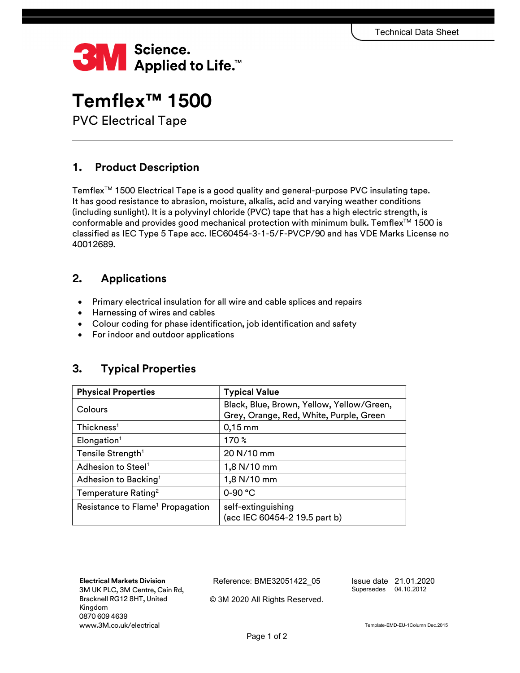

# Temflex™ 1500

PVC Electrical Tape

## 1. Product Description

Temflex<sup>™</sup> 1500 Electrical Tape is a good quality and general-purpose PVC insulating tape. It has good resistance to abrasion, moisture, alkalis, acid and varying weather conditions (including sunlight). It is a polyvinyl chloride (PVC) tape that has a high electric strength, is conformable and provides good mechanical protection with minimum bulk. Temflex<sup>TM</sup> 1500 is classified as IEC Type 5 Tape acc. IEC60454-3-1-5/F-PVCP/90 and has VDE Marks License no 40012689.

## 2. Applications

- Primary electrical insulation for all wire and cable splices and repairs
- Harnessing of wires and cables
- Colour coding for phase identification, job identification and safety
- For indoor and outdoor applications

## 3. Typical Properties

| <b>Physical Properties</b>                   | <b>Typical Value</b>                                                                 |
|----------------------------------------------|--------------------------------------------------------------------------------------|
| Colours                                      | Black, Blue, Brown, Yellow, Yellow/Green,<br>Grey, Orange, Red, White, Purple, Green |
| Thickness <sup>1</sup>                       | $0,15$ mm                                                                            |
| Elongation <sup>1</sup>                      | 170 $\%$                                                                             |
| Tensile Strength <sup>1</sup>                | 20 N/10 mm                                                                           |
| Adhesion to Steel <sup>1</sup>               | 1,8 N/10 mm                                                                          |
| Adhesion to Backing <sup>1</sup>             | 1,8 N/10 mm                                                                          |
| Temperature Rating <sup>2</sup>              | $0 - 90 °C$                                                                          |
| Resistance to Flame <sup>1</sup> Propagation | self-extinguishing<br>(acc IEC 60454-2 19.5 part b)                                  |

Electrical Markets Division 3M UK PLC, 3M Centre, Cain Rd, Bracknell RG12 8HT, United Kingdom 0870 609 4639 www.3M.co.uk/electrical

Reference: BME32051422\_05

Issue date 21.01.2020 Supersedes 04.10.2012

© 3M 2020 All Rights Reserved.